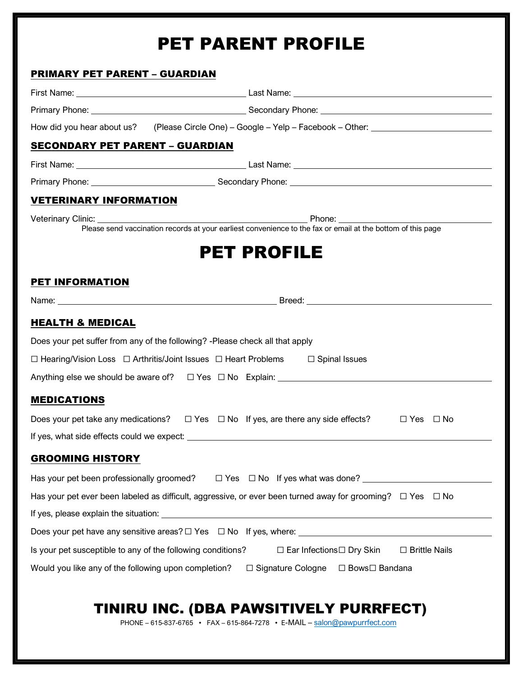# PET PARENT PROFILE

## PRIMARY PET PARENT – GUARDIAN

|                                                             | How did you hear about us? (Please Circle One) - Google - Yelp - Facebook - Other: __________________________                                                                                                                       |
|-------------------------------------------------------------|-------------------------------------------------------------------------------------------------------------------------------------------------------------------------------------------------------------------------------------|
| <b>SECONDARY PET PARENT - GUARDIAN</b>                      |                                                                                                                                                                                                                                     |
|                                                             | First Name: <u>Name:</u> Last Name: Last Name: Last Name: Last Name: Last Name: Last Name: Last Name: Last Name: Last Name: Last Name: Last Name: Last Name: Last Name: Last Name: Last Name: Last Name: Last Name: Last Name: Last |
|                                                             |                                                                                                                                                                                                                                     |
| <b>VETERINARY INFORMATION</b>                               |                                                                                                                                                                                                                                     |
|                                                             | Veterinary Clinic: <u>Phone:</u> Phone: Phone: Phone: Please send vaccination records at your earliest convenience to the fax or email at the bottom of this page                                                                   |
|                                                             |                                                                                                                                                                                                                                     |
|                                                             | <b>PET PROFILE</b>                                                                                                                                                                                                                  |
|                                                             |                                                                                                                                                                                                                                     |
| <b>PET INFORMATION</b>                                      |                                                                                                                                                                                                                                     |
|                                                             |                                                                                                                                                                                                                                     |
| <b>HEALTH &amp; MEDICAL</b>                                 |                                                                                                                                                                                                                                     |
|                                                             | Does your pet suffer from any of the following? - Please check all that apply                                                                                                                                                       |
|                                                             | $\Box$ Hearing/Vision Loss $\Box$ Arthritis/Joint Issues $\Box$ Heart Problems $\Box$ Spinal Issues                                                                                                                                 |
|                                                             |                                                                                                                                                                                                                                     |
| <b>MEDICATIONS</b>                                          |                                                                                                                                                                                                                                     |
|                                                             | Does your pet take any medications? $\square$ Yes $\square$ No If yes, are there any side effects?<br>$\Box$ Yes $\Box$ No                                                                                                          |
|                                                             |                                                                                                                                                                                                                                     |
| <b>GROOMING HISTORY</b>                                     |                                                                                                                                                                                                                                     |
|                                                             | Has your pet been professionally groomed? □ Yes □ No If yes what was done? ________________________                                                                                                                                 |
|                                                             | Has your pet ever been labeled as difficult, aggressive, or ever been turned away for grooming? $\Box$ Yes $\Box$ No                                                                                                                |
|                                                             |                                                                                                                                                                                                                                     |
|                                                             |                                                                                                                                                                                                                                     |
| Is your pet susceptible to any of the following conditions? | □ Ear Infections□ Dry Skin<br>$\Box$ Brittle Nails                                                                                                                                                                                  |
|                                                             |                                                                                                                                                                                                                                     |

# TINIRU INC. (DBA PAWSITIVELY PURRFECT)

PHONE – 615-837-6765 • FAX – 615-864-7278 • E-MAIL – salon@pawpurrfect.com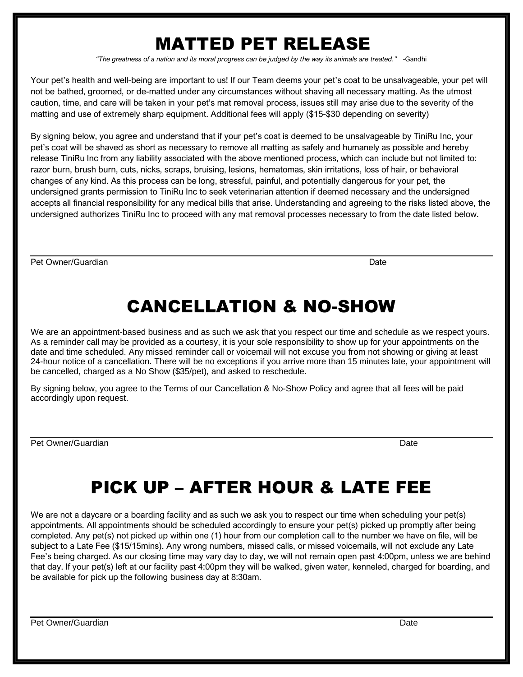# MATTED PET RELEASE

*"The greatness of a nation and its moral progress can be judged by the way its animals are treated."* -Gandhi

Your pet's health and well-being are important to us! If our Team deems your pet's coat to be unsalvageable, your pet will not be bathed, groomed, or de-matted under any circumstances without shaving all necessary matting. As the utmost caution, time, and care will be taken in your pet's mat removal process, issues still may arise due to the severity of the matting and use of extremely sharp equipment. Additional fees will apply (\$15-\$30 depending on severity)

By signing below, you agree and understand that if your pet's coat is deemed to be unsalvageable by TiniRu Inc, your pet's coat will be shaved as short as necessary to remove all matting as safely and humanely as possible and hereby release TiniRu Inc from any liability associated with the above mentioned process, which can include but not limited to: razor burn, brush burn, cuts, nicks, scraps, bruising, lesions, hematomas, skin irritations, loss of hair, or behavioral changes of any kind. As this process can be long, stressful, painful, and potentially dangerous for your pet, the undersigned grants permission to TiniRu Inc to seek veterinarian attention if deemed necessary and the undersigned accepts all financial responsibility for any medical bills that arise. Understanding and agreeing to the risks listed above, the undersigned authorizes TiniRu Inc to proceed with any mat removal processes necessary to from the date listed below.

Pet Owner/Guardian **Date** 

# CANCELLATION & NO-SHOW

We are an appointment-based business and as such we ask that you respect our time and schedule as we respect yours. As a reminder call may be provided as a courtesy, it is your sole responsibility to show up for your appointments on the date and time scheduled. Any missed reminder call or voicemail will not excuse you from not showing or giving at least 24-hour notice of a cancellation. There will be no exceptions if you arrive more than 15 minutes late, your appointment will be cancelled, charged as a No Show (\$35/pet), and asked to reschedule.

By signing below, you agree to the Terms of our Cancellation & No-Show Policy and agree that all fees will be paid accordingly upon request.

Pet Owner/Guardian Date Date of Contract of Contract of Contract of Contract of Contract of Contract of Contract of Contract of Contract of Contract of Contract of Contract of Contract of Contract of Contract of Contract o

# PICK UP – AFTER HOUR & LATE FEE

We are not a daycare or a boarding facility and as such we ask you to respect our time when scheduling your pet(s) appointments. All appointments should be scheduled accordingly to ensure your pet(s) picked up promptly after being completed. Any pet(s) not picked up within one (1) hour from our completion call to the number we have on file, will be subject to a Late Fee (\$15/15mins). Any wrong numbers, missed calls, or missed voicemails, will not exclude any Late Fee's being charged. As our closing time may vary day to day, we will not remain open past 4:00pm, unless we are behind that day. If your pet(s) left at our facility past 4:00pm they will be walked, given water, kenneled, charged for boarding, and be available for pick up the following business day at 8:30am.

Pet Owner/Guardian Date Date of Contract of Contract of Contract of Contract of Contract of Contract of Contract of Contract of Contract of Contract of Contract of Contract of Contract of Contract of Contract of Contract o